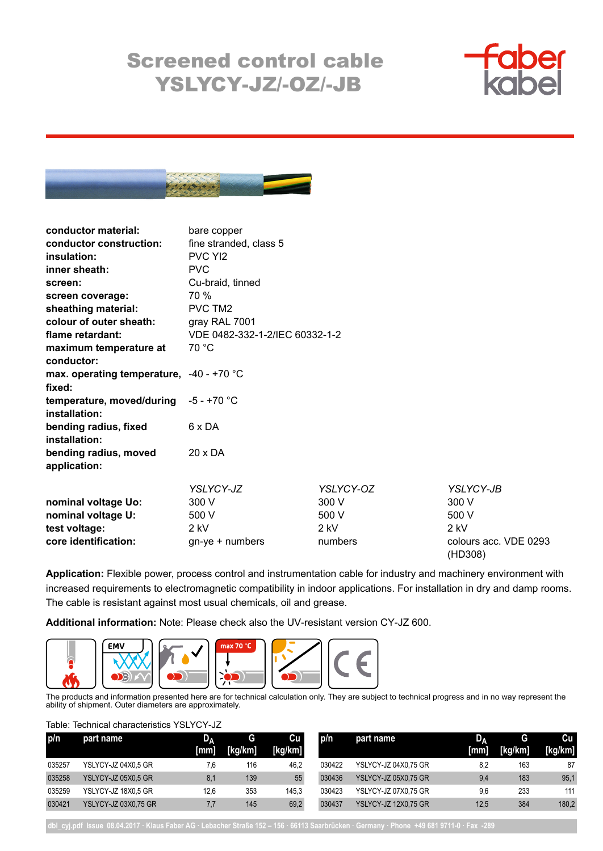## Screened control cable YSLYCY-JZ/-OZ/-JB





| conductor material:                                  | bare copper                    |           |                                  |
|------------------------------------------------------|--------------------------------|-----------|----------------------------------|
| conductor construction:                              | fine stranded, class 5         |           |                                  |
| insulation:                                          | PVC YI2                        |           |                                  |
| inner sheath:                                        | <b>PVC</b>                     |           |                                  |
| screen:                                              | Cu-braid, tinned               |           |                                  |
| screen coverage:                                     | 70 %                           |           |                                  |
| sheathing material:                                  | PVC TM2                        |           |                                  |
| colour of outer sheath:                              | gray RAL 7001                  |           |                                  |
| flame retardant:                                     | VDE 0482-332-1-2/IEC 60332-1-2 |           |                                  |
| maximum temperature at                               | 70 °C                          |           |                                  |
| conductor:                                           |                                |           |                                  |
| max. operating temperature, $-40 - +70$ °C<br>fixed: |                                |           |                                  |
| temperature, moved/during<br>installation:           | $-5 - +70$ °C                  |           |                                  |
| bending radius, fixed<br>installation:               | 6 x DA                         |           |                                  |
| bending radius, moved<br>application:                | 20 x DA                        |           |                                  |
|                                                      | YSLYCY-JZ                      | YSLYCY-OZ | YSLYCY-JB                        |
| nominal voltage Uo:                                  | 300 V                          | 300 V     | 300 V                            |
| nominal voltage U:                                   | 500 V                          | 500 V     | 500 V                            |
| test voltage:                                        | $2$ kV                         | $2$ kV    | $2$ kV                           |
| core identification:                                 | $gn$ -ye + numbers             | numbers   | colours acc. VDE 0293<br>(HD308) |

**Application:** Flexible power, process control and instrumentation cable for industry and machinery environment with increased requirements to electromagnetic compatibility in indoor applications. For installation in dry and damp rooms. The cable is resistant against most usual chemicals, oil and grease.

**Additional information:** Note: Please check also the UV-resistant version CY-JZ 600.



The products and information presented here are for technical calculation only. They are subject to technical progress and in no way represent the ability of shipment. Outer diameters are approximately.

Table: Technical characteristics YSLYCY-JZ

| p/n    | part name                   | D.   | G       | Cu      | p/n    | part name                   | υ۸   | G       | Cu      |
|--------|-----------------------------|------|---------|---------|--------|-----------------------------|------|---------|---------|
|        |                             | [mm] | [kg/km] | [kg/km] |        |                             | [mm] | [kg/km] | [kg/km] |
| 035257 | YSLYCY-JZ 04X0.5 GR         | 7.6  | 116     | 46.2    | 030422 | YSLYCY-JZ 04X0.75 GR        | 8,2  | 163     | 87      |
| 035258 | YSLYCY-JZ 05X0.5 GR         | 8.1  | 139     | 55      | 030436 | YSLYCY-JZ 05X0.75 GR        | 9,4  | 183     | 95,1    |
| 035259 | YSLYCY-JZ 18X0.5 GR         | 12.6 | 353     | 145.3   | 030423 | YSLYCY-JZ 07X0.75 GR        | 9,6  | 233     | 111     |
| 030421 | <b>YSLYCY-JZ 03X0.75 GR</b> | 7.7  | 145     | 69,2    | 030437 | <b>YSLYCY-JZ 12X0,75 GR</b> | 12.5 | 384     | 180,2   |

**dbl\_cyj.pdf Issue 08.04.2017 · Klaus Faber AG · Lebacher Straße 152 – 156 · 66113 Saarbrücken · Germany · Phone +49 681 9711-0 · Fax -289**